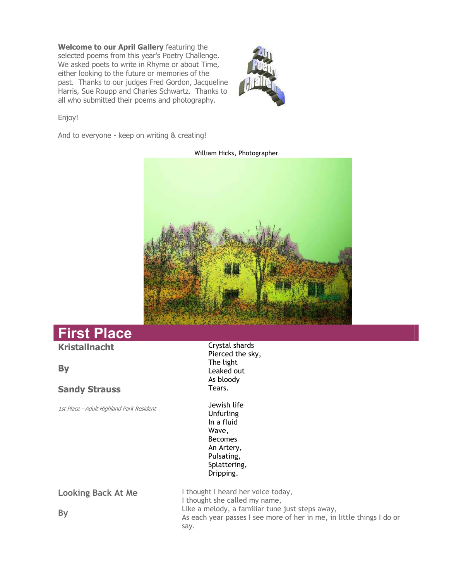**Welcome to our April Gallery** featuring the selected poems from this year's Poetry Challenge. We asked poets to write in Rhyme or about Time, either looking to the future or memories of the past. Thanks to our judges Fred Gordon, Jacqueline Harris, Sue Roupp and Charles Schwartz. Thanks to all who submitted their poems and photography.



Enjoy!

And to everyone - keep on writing & creating!



#### William Hicks, Photographer

# **First Place**

# **Kristallnacht**

**By** 

### **Sandy Strauss**

1st Place - Adult Highland Park Resident

Crystal shards Pierced the sky, The light Leaked out As bloody Tears.

Jewish life **Unfurling** In a fluid Wave, Becomes An Artery, Pulsating, Splattering, Dripping.

**Looking Back At Me** 

I thought I heard her voice today, I thought she called my name, Like a melody, a familiar tune just steps away, As each year passes I see more of her in me, in little things I do or say.

**By**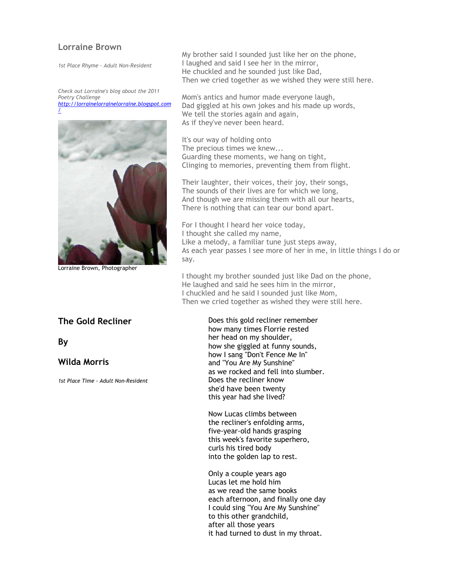### **Lorraine Brown**

*1st Place Rhyme - Adult Non-Resident* 

*Check out Lorraine's blog about the 2011 Poetry Challenge http://lorrainelorrainelorraine.blogspot.com /*



Lorraine Brown, Photographer

### **The Gold Recliner**

**By** 

# **Wilda Morris**

*1st Place Time - Adult Non-Resident*

My brother said I sounded just like her on the phone, I laughed and said I see her in the mirror, He chuckled and he sounded just like Dad, Then we cried together as we wished they were still here.

Mom's antics and humor made everyone laugh, Dad giggled at his own jokes and his made up words, We tell the stories again and again, As if they've never been heard.

It's our way of holding onto The precious times we knew... Guarding these moments, we hang on tight, Clinging to memories, preventing them from flight.

Their laughter, their voices, their joy, their songs, The sounds of their lives are for which we long, And though we are missing them with all our hearts, There is nothing that can tear our bond apart.

For I thought I heard her voice today, I thought she called my name, Like a melody, a familiar tune just steps away, As each year passes I see more of her in me, in little things I do or say.

I thought my brother sounded just like Dad on the phone, He laughed and said he sees him in the mirror, I chuckled and he said I sounded just like Mom, Then we cried together as wished they were still here.

> Does this gold recliner remember how many times Florrie rested her head on my shoulder, how she giggled at funny sounds, how I sang "Don't Fence Me In" and "You Are My Sunshine" as we rocked and fell into slumber. Does the recliner know she'd have been twenty this year had she lived?

Now Lucas climbs between the recliner's enfolding arms, five-year-old hands grasping this week's favorite superhero, curls his tired body into the golden lap to rest.

Only a couple years ago Lucas let me hold him as we read the same books each afternoon, and finally one day I could sing "You Are My Sunshine" to this other grandchild, after all those years it had turned to dust in my throat.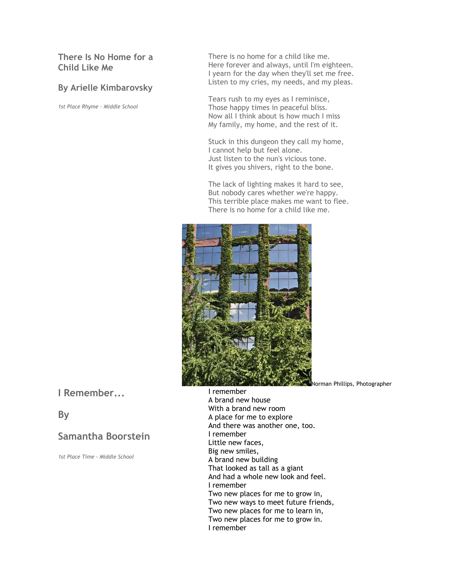# **There Is No Home for a Child Like Me**

# **By Arielle Kimbarovsky**

*1st Place Rhyme - Middle School*

There is no home for a child like me. Here forever and always, until I'm eighteen. I yearn for the day when they'll set me free. Listen to my cries, my needs, and my pleas.

Tears rush to my eyes as I reminisce, Those happy times in peaceful bliss. Now all I think about is how much I miss My family, my home, and the rest of it.

Stuck in this dungeon they call my home, I cannot help but feel alone. Just listen to the nun's vicious tone. It gives you shivers, right to the bone.

The lack of lighting makes it hard to see, But nobody cares whether we're happy. This terrible place makes me want to flee. There is no home for a child like me.



Norman Phillips, Photographer

**I Remember...**

# **By**

# **Samantha Boorstein**

*1st Place Time - Middle School* 

I remember A brand new house With a brand new room A place for me to explore And there was another one, too. I remember Little new faces, Big new smiles, A brand new building That looked as tall as a giant And had a whole new look and feel. I remember Two new places for me to grow in, Two new ways to meet future friends, Two new places for me to learn in, Two new places for me to grow in. I remember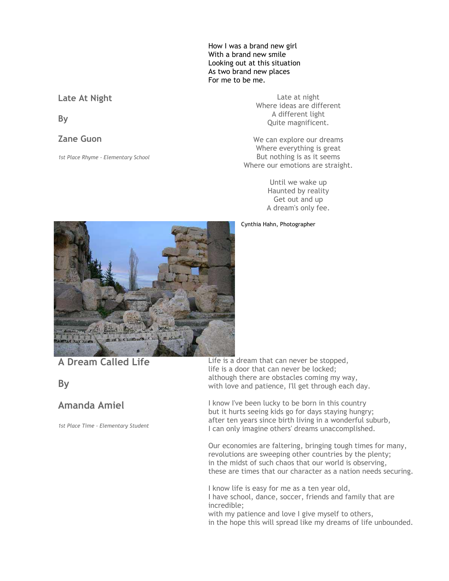How I was a brand new girl With a brand new smile Looking out at this situation As two brand new places For me to be me.

# **Late At Night**

**By** 

### **Zane Guon**

*1st Place Rhyme - Elementary School*

Late at night Where ideas are different A different light Quite magnificent.

We can explore our dreams Where everything is great But nothing is as it seems Where our emotions are straight.

> Until we wake up Haunted by reality Get out and up A dream's only fee.

Cynthia Hahn, Photographer



**A Dream Called Life**

**By**

# **Amanda Amiel**

*1st Place Time - Elementary Student*

Life is a dream that can never be stopped, life is a door that can never be locked; although there are obstacles coming my way, with love and patience, I'll get through each day.

I know I've been lucky to be born in this country but it hurts seeing kids go for days staying hungry; after ten years since birth living in a wonderful suburb, I can only imagine others' dreams unaccomplished.

Our economies are faltering, bringing tough times for many, revolutions are sweeping other countries by the plenty; in the midst of such chaos that our world is observing, these are times that our character as a nation needs securing.

I know life is easy for me as a ten year old, I have school, dance, soccer, friends and family that are incredible; with my patience and love I give myself to others,

in the hope this will spread like my dreams of life unbounded.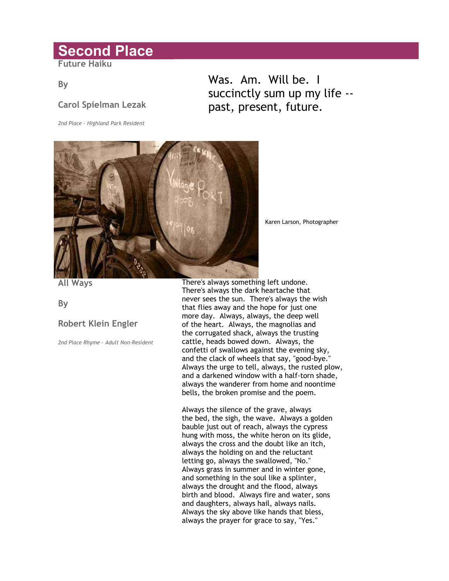# **Second Place**

**Future Haiku** 

# **By**

# **Carol Spielman Lezak**

*2nd Place - Highland Park Resident* 

# Was. Am. Will be. I succinctly sum up my life - past, present, future.



Karen Larson, Photographer

**All Ways** 

**By** 

# **Robert Klein Engler**

*2nd Place Rhyme - Adult Non-Resident*

There's always something left undone. There's always the dark heartache that never sees the sun. There's always the wish that flies away and the hope for just one more day. Always, always, the deep well of the heart. Always, the magnolias and the corrugated shack, always the trusting cattle, heads bowed down. Always, the confetti of swallows against the evening sky, and the clack of wheels that say, "good-bye." Always the urge to tell, always, the rusted plow, and a darkened window with a half-torn shade, always the wanderer from home and noontime bells, the broken promise and the poem.

Always the silence of the grave, always the bed, the sigh, the wave. Always a golden bauble just out of reach, always the cypress hung with moss, the white heron on its glide, always the cross and the doubt like an itch, always the holding on and the reluctant letting go, always the swallowed, "No." Always grass in summer and in winter gone, and something in the soul like a splinter, always the drought and the flood, always birth and blood. Always fire and water, sons and daughters, always hail, always nails. Always the sky above like hands that bless, always the prayer for grace to say, "Yes."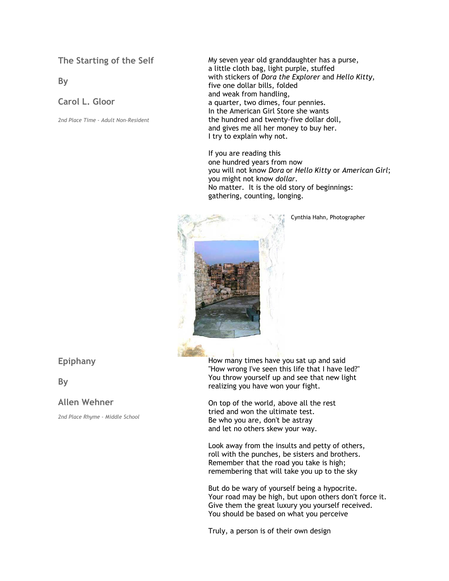**The Starting of the Self** 

**By** 

**Carol L. Gloor** 

*2nd Place Time - Adult Non-Resident*

My seven year old granddaughter has a purse, a little cloth bag, light purple, stuffed with stickers of *Dora the Explorer* and *Hello Kitty*, five one dollar bills, folded and weak from handling, a quarter, two dimes, four pennies. In the American Girl Store she wants the hundred and twenty-five dollar doll, and gives me all her money to buy her. I try to explain why not.

If you are reading this one hundred years from now you will not know *Dora* or *Hello Kitty* or *American Girl*; you might not know *dollar*. No matter. It is the old story of beginnings: gathering, counting, longing.



Cynthia Hahn, Photographer

### **Epiphany**

**By** 

### **Allen Wehner**

*2nd Place Rhyme - Middle School*

How many times have you sat up and said "How wrong I've seen this life that I have led?" You throw yourself up and see that new light realizing you have won your fight.

On top of the world, above all the rest tried and won the ultimate test. Be who you are, don't be astray and let no others skew your way.

Look away from the insults and petty of others, roll with the punches, be sisters and brothers. Remember that the road you take is high; remembering that will take you up to the sky

But do be wary of yourself being a hypocrite. Your road may be high, but upon others don't force it. Give them the great luxury you yourself received. You should be based on what you perceive

Truly, a person is of their own design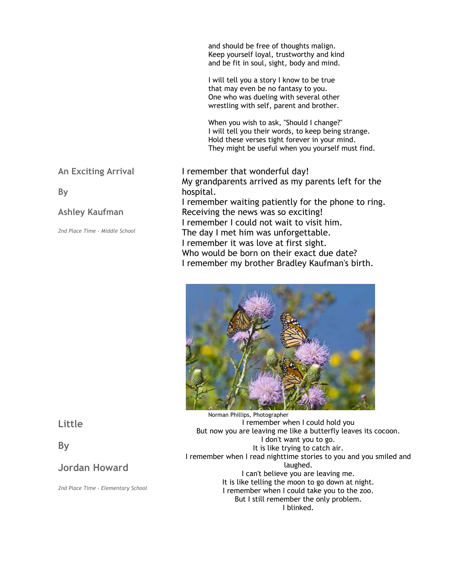and should be free of thoughts malign. Keep yourself loyal, trustworthy and kind and be fit in soul, sight, body and mind.

I will tell you a story I know to be true that may even be no fantasy to you. One who was dueling with several other wrestling with self, parent and brother.

When you wish to ask, "Should I change?" I will tell you their words, to keep being strange. Hold these verses tight forever in your mind. They might be useful when you yourself must find.

# **An Exciting Arrival**

**By** 

# **Ashley Kaufman**

*2nd Place Time - Middle School*

I remember that wonderful day! My grandparents arrived as my parents left for the hospital. I remember waiting patiently for the phone to ring. Receiving the news was so exciting! I remember I could not wait to visit him. The day I met him was unforgettable. I remember it was love at first sight. Who would be born on their exact due date? I remember my brother Bradley Kaufman's birth.



Norman Phillips, Photographer I remember when I could hold you But now you are leaving me like a butterfly leaves its cocoon. I don't want you to go. It is like trying to catch air. I remember when I read nighttime stories to you and you smiled and laughed. I can't believe you are leaving me. It is like telling the moon to go down at night. I remember when I could take you to the zoo. But I still remember the only problem. I blinked.

**Little**

**By**

# **Jordan Howard**

*2nd Place Time - Elementary School*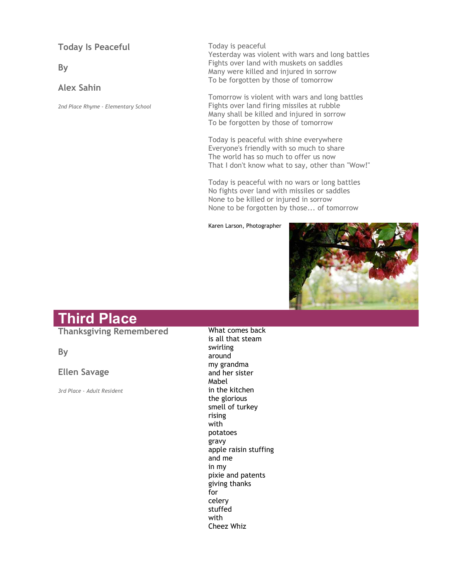**Today Is Peaceful** 

**By** 

# **Alex Sahin**

*2nd Place Rhyme - Elementary School*

Today is peaceful Yesterday was violent with wars and long battles Fights over land with muskets on saddles Many were killed and injured in sorrow To be forgotten by those of tomorrow

Tomorrow is violent with wars and long battles Fights over land firing missiles at rubble Many shall be killed and injured in sorrow To be forgotten by those of tomorrow

Today is peaceful with shine everywhere Everyone's friendly with so much to share The world has so much to offer us now That I don't know what to say, other than "Wow!"

Today is peaceful with no wars or long battles No fights over land with missiles or saddles None to be killed or injured in sorrow None to be forgotten by those... of tomorrow

Karen Larson, Photographer



# **Third Place**

**Thanksgiving Remembered** 

**By** 

### **Ellen Savage**

*3rd Place - Adult Resident*

What comes back is all that steam swirling around my grandma and her sister Mabel in the kitchen the glorious smell of turkey rising with potatoes gravy apple raisin stuffing and me in my pixie and patents giving thanks for celery stuffed with Cheez Whiz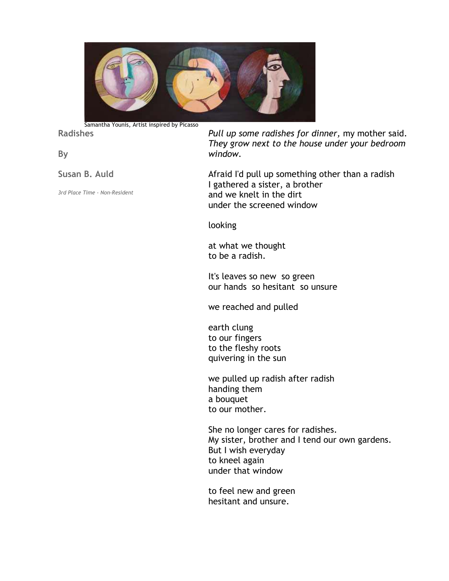

Samantha Younis, Artist inspired by Picasso

## **Radishes**

# **By**

**Susan B. Auld** 

*3rd Place Time - Non-Resident*

*Pull up some radishes for dinner,* my mother said. *They grow next to the house under your bedroom window.*

Afraid I'd pull up something other than a radish I gathered a sister, a brother and we knelt in the dirt under the screened window

looking

at what we thought to be a radish.

It's leaves so new so green our hands so hesitant so unsure

we reached and pulled

earth clung to our fingers to the fleshy roots quivering in the sun

we pulled up radish after radish handing them a bouquet to our mother.

She no longer cares for radishes. My sister, brother and I tend our own gardens. But I wish everyday to kneel again under that window

to feel new and green hesitant and unsure.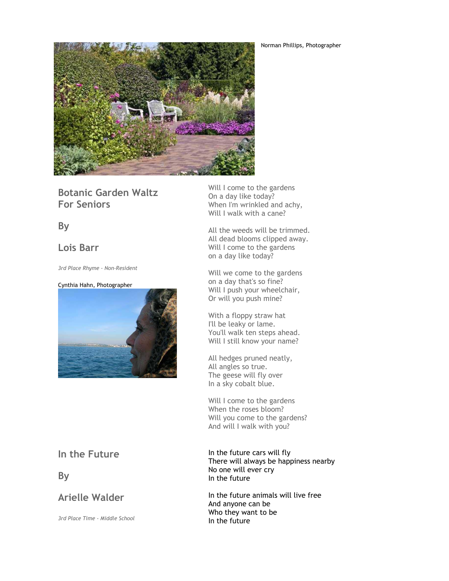Norman Phillips, Photographer



**Botanic Garden Waltz For Seniors**

**By**

# **Lois Barr**

*3rd Place Rhyme - Non-Resident*

#### Cynthia Hahn, Photographer



# **In the Future**

**By**

# **Arielle Walder**

*3rd Place Time - Middle School*

Will I come to the gardens On a day like today? When I'm wrinkled and achy, Will I walk with a cane?

All the weeds will be trimmed. All dead blooms clipped away. Will I come to the gardens on a day like today?

Will we come to the gardens on a day that's so fine? Will I push your wheelchair, Or will you push mine?

With a floppy straw hat I'll be leaky or lame. You'll walk ten steps ahead. Will I still know your name?

All hedges pruned neatly, All angles so true. The geese will fly over In a sky cobalt blue.

Will I come to the gardens When the roses bloom? Will you come to the gardens? And will I walk with you?

In the future cars will fly There will always be happiness nearby No one will ever cry In the future

In the future animals will live free And anyone can be Who they want to be In the future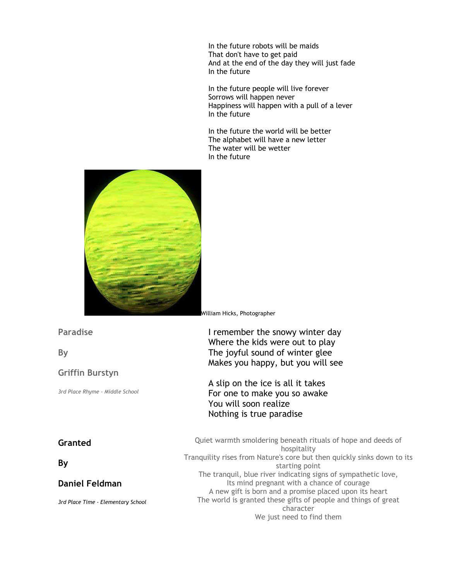In the future robots will be maids That don't have to get paid And at the end of the day they will just fade In the future

In the future people will live forever Sorrows will happen never Happiness will happen with a pull of a lever In the future

In the future the world will be better The alphabet will have a new letter The water will be wetter In the future



### **Paradise**

**By** 

### **Griffin Burstyn**

*3rd Place Rhyme - Middle School*

# **Granted**

**By** 

# **Daniel Feldman**

*3rd Place Time - Elementary School*

William Hicks, Photographer

I remember the snowy winter day Where the kids were out to play The joyful sound of winter glee Makes you happy, but you will see

A slip on the ice is all it takes For one to make you so awake You will soon realize Nothing is true paradise

Quiet warmth smoldering beneath rituals of hope and deeds of hospitality Tranquility rises from Nature's core but then quickly sinks down to its starting point The tranquil, blue river indicating signs of sympathetic love, Its mind pregnant with a chance of courage A new gift is born and a promise placed upon its heart The world is granted these gifts of people and things of great character We just need to find them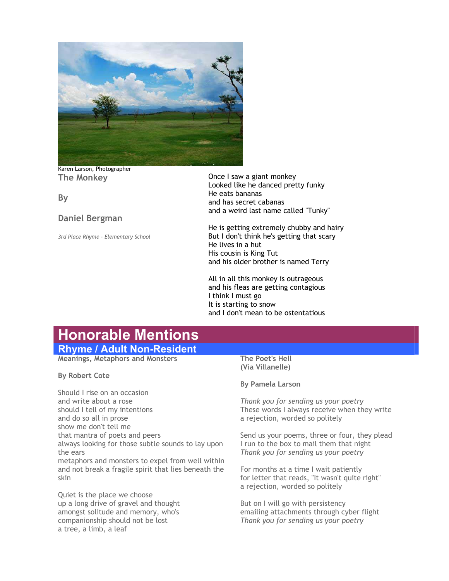

Karen Larson, Photographer **The Monkey** 

**By** 

### **Daniel Bergman**

*3rd Place Rhyme - Elementary School*

Once I saw a giant monkey Looked like he danced pretty funky He eats bananas and has secret cabanas and a weird last name called "Tunky"

He is getting extremely chubby and hairy But I don't think he's getting that scary He lives in a hut His cousin is King Tut and his older brother is named Terry

All in all this monkey is outrageous and his fleas are getting contagious I think I must go It is starting to snow and I don't mean to be ostentatious

# **Honorable Mentions**

# **Rhyme / Adult Non-Resident**

**Meanings, Metaphors and Monsters** 

**By Robert Cote** 

Should I rise on an occasion and write about a rose should I tell of my intentions and do so all in prose show me don't tell me that mantra of poets and peers always looking for those subtle sounds to lay upon the ears metaphors and monsters to expel from well within and not break a fragile spirit that lies beneath the skin

Quiet is the place we choose up a long drive of gravel and thought amongst solitude and memory, who's companionship should not be lost a tree, a limb, a leaf

#### **The Poet's Hell (Via Villanelle)**

#### **By Pamela Larson**

*Thank you for sending us your poetry*  These words I always receive when they write a rejection, worded so politely

Send us your poems, three or four, they plead I run to the box to mail them that night *Thank you for sending us your poetry* 

For months at a time I wait patiently for letter that reads, "It wasn't quite right" a rejection, worded so politely

But on I will go with persistency emailing attachments through cyber flight *Thank you for sending us your poetry*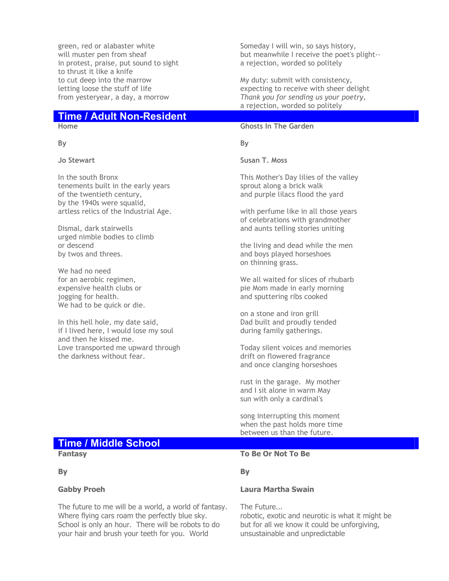green, red or alabaster white will muster pen from sheaf in protest, praise, put sound to sight to thrust it like a knife to cut deep into the marrow letting loose the stuff of life from yesteryear, a day, a morrow

# **Time / Adult Non-Resident**

### **Home**

**By** 

**Jo Stewart** 

In the south Bronx tenements built in the early years of the twentieth century, by the 1940s were squalid, artless relics of the Industrial Age.

Dismal, dark stairwells urged nimble bodies to climb or descend by twos and threes.

We had no need for an aerobic regimen, expensive health clubs or jogging for health. We had to be quick or die.

In this hell hole, my date said, if I lived here, I would lose my soul and then he kissed me. Love transported me upward through the darkness without fear.

Someday I will win, so says history, but meanwhile I receive the poet's plight- a rejection, worded so politely

My duty: submit with consistency, expecting to receive with sheer delight *Thank you for sending us your poetry,*  a rejection, worded so politely

#### **Ghosts In The Garden**

**By** 

**Susan T. Moss** 

This Mother's Day lilies of the valley sprout along a brick walk and purple lilacs flood the yard

with perfume like in all those years of celebrations with grandmother and aunts telling stories uniting

the living and dead while the men and boys played horseshoes on thinning grass.

We all waited for slices of rhubarb pie Mom made in early morning and sputtering ribs cooked

on a stone and iron grill Dad built and proudly tended during family gatherings.

Today silent voices and memories drift on flowered fragrance and once clanging horseshoes

rust in the garage. My mother and I sit alone in warm May sun with only a cardinal's

song interrupting this moment when the past holds more time between us than the future.

# **Time / Middle School**

**Fantasy** 

**By** 

### **Gabby Proeh**

The future to me will be a world, a world of fantasy. Where flying cars roam the perfectly blue sky. School is only an hour. There will be robots to do your hair and brush your teeth for you. World

### **To Be Or Not To Be**

**By** 

### **Laura Martha Swain**

The Future... robotic, exotic and neurotic is what it might be but for all we know it could be unforgiving, unsustainable and unpredictable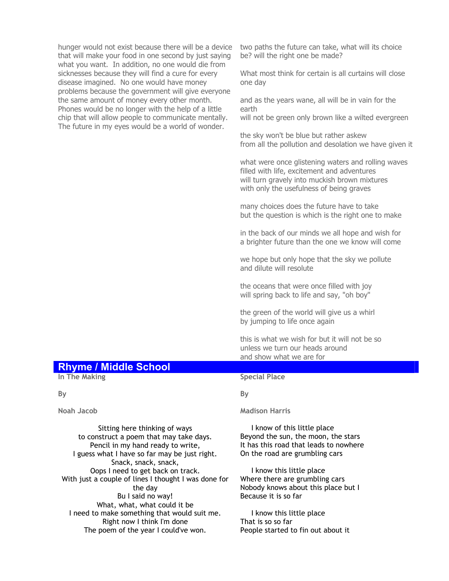hunger would not exist because there will be a device that will make your food in one second by just saying what you want. In addition, no one would die from sicknesses because they will find a cure for every disease imagined. No one would have money problems because the government will give everyone the same amount of money every other month. Phones would be no longer with the help of a little chip that will allow people to communicate mentally. The future in my eyes would be a world of wonder.

two paths the future can take, what will its choice be? will the right one be made?

What most think for certain is all curtains will close one day

and as the years wane, all will be in vain for the earth

will not be green only brown like a wilted evergreen

the sky won't be blue but rather askew from all the pollution and desolation we have given it

what were once glistening waters and rolling waves filled with life, excitement and adventures will turn gravely into muckish brown mixtures with only the usefulness of being graves

many choices does the future have to take but the question is which is the right one to make

in the back of our minds we all hope and wish for a brighter future than the one we know will come

we hope but only hope that the sky we pollute and dilute will resolute

the oceans that were once filled with joy will spring back to life and say, "oh boy"

the green of the world will give us a whirl by jumping to life once again

this is what we wish for but it will not be so unless we turn our heads around and show what we are for

# **Rhyme / Middle School**

**In The Making** 

#### **By**

**Noah Jacob**

Sitting here thinking of ways to construct a poem that may take days. Pencil in my hand ready to write, I guess what I have so far may be just right. Snack, snack, snack, Oops I need to get back on track. With just a couple of lines I thought I was done for the day Bu I said no way! What, what, what could it be I need to make something that would suit me. Right now I think I'm done The poem of the year I could've won.

#### **Special Place**

#### **By**

#### **Madison Harris**

 I know of this little place Beyond the sun, the moon, the stars It has this road that leads to nowhere On the road are grumbling cars

 I know this little place Where there are grumbling cars Nobody knows about this place but I Because it is so far

 I know this little place That is so so far People started to fin out about it